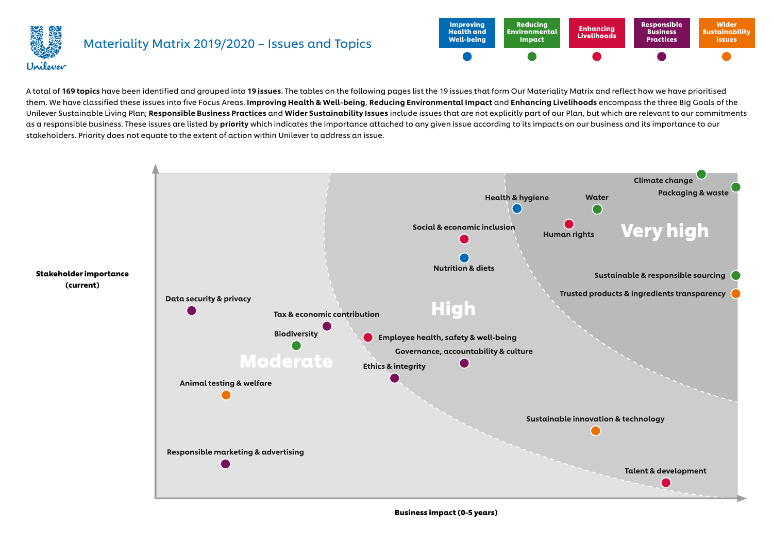

#### Materiality Matrix 2019/2020 – Issues and Topics



A total of 169 topics have been identified and grouped into 19 issues. The tables on the following pages list the 19 issues that form Our Materiality Matrix and reflect how we have prioritised them. We have classified these issues into five Focus Areas. Improving Health & Well-being, Reducing Environmental Impact and Enhancing Livelihoods encompass the three Big Goals of the Unilever Sustainable Living Plan; Responsible Business Practices and Wider Sustainability Issues include issues that are not explicitly part of our Plan, but which are relevant to our commitments as a responsible business. These issues are listed by **priority** which indicates the importance attached to any given issue according to its impacts on our business and its importance to our stakeholders. Priority does not equate to the extent of action within Unilever to address an issue.



Business impact (0-5 years)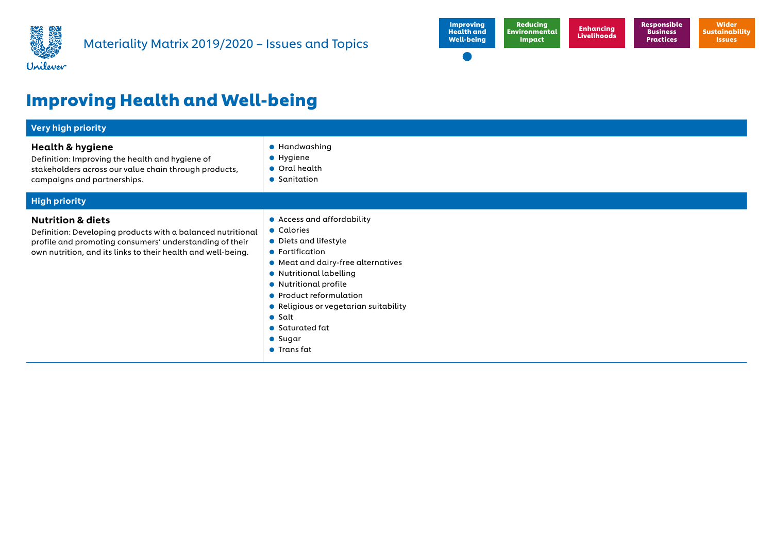



# Improving Health and Well-being

| <b>Very high priority</b>                                                                                                                                                                                              |                                                                                                                                                                                                                                                                                                                                          |  |
|------------------------------------------------------------------------------------------------------------------------------------------------------------------------------------------------------------------------|------------------------------------------------------------------------------------------------------------------------------------------------------------------------------------------------------------------------------------------------------------------------------------------------------------------------------------------|--|
| <b>Health &amp; hygiene</b><br>Definition: Improving the health and hygiene of<br>stakeholders across our value chain through products,<br>campaigns and partnerships.                                                 | • Handwashing<br>• Hygiene<br>$\bullet$ Oral health<br>• Sanitation                                                                                                                                                                                                                                                                      |  |
| <b>High priority</b>                                                                                                                                                                                                   |                                                                                                                                                                                                                                                                                                                                          |  |
| <b>Nutrition &amp; diets</b><br>Definition: Developing products with a balanced nutritional<br>profile and promoting consumers' understanding of their<br>own nutrition, and its links to their health and well-being. | • Access and affordability<br>• Calories<br>• Diets and lifestyle<br>• Fortification<br>• Meat and dairy-free alternatives<br>• Nutritional labelling<br>• Nutritional profile<br>• Product reformulation<br>• Religious or vegetarian suitability<br>$\bullet$ Salt<br>$\bullet$ Saturated fat<br>$\bullet$ Sugar<br>$\bullet$ Transfat |  |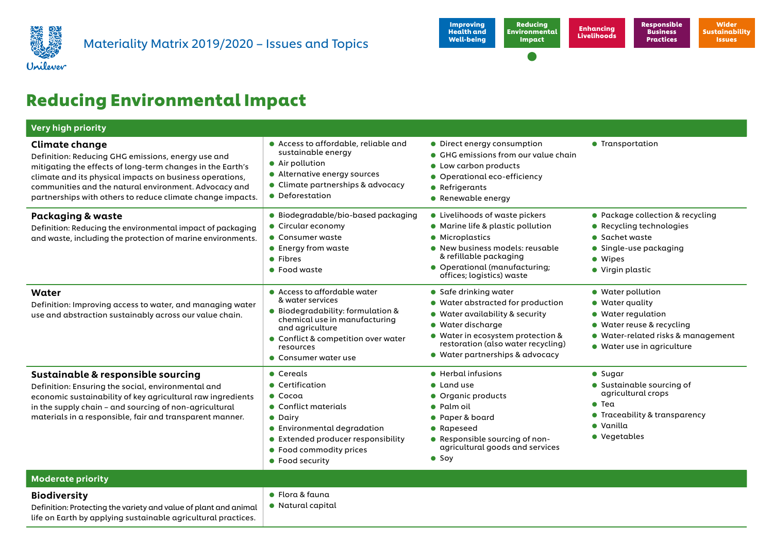



## Reducing Environmental Impact

| <b>Very high priority</b>                                                                                                                                                                                                                                                                                                    |                                                                                                                                                                                                                               |                                                                                                                                                                                                                                  |                                                                                                                                                             |
|------------------------------------------------------------------------------------------------------------------------------------------------------------------------------------------------------------------------------------------------------------------------------------------------------------------------------|-------------------------------------------------------------------------------------------------------------------------------------------------------------------------------------------------------------------------------|----------------------------------------------------------------------------------------------------------------------------------------------------------------------------------------------------------------------------------|-------------------------------------------------------------------------------------------------------------------------------------------------------------|
| <b>Climate change</b><br>Definition: Reducing GHG emissions, energy use and<br>mitigating the effects of long-term changes in the Earth's<br>climate and its physical impacts on business operations,<br>communities and the natural environment. Advocacy and<br>partnerships with others to reduce climate change impacts. | • Access to affordable, reliable and<br>sustainable energy<br>• Air pollution<br>• Alternative energy sources<br>• Climate partnerships & advocacy<br>• Deforestation                                                         | • Direct energy consumption<br>• GHG emissions from our value chain<br>• Low carbon products<br>• Operational eco-efficiency<br>• Refrigerants<br>• Renewable energy                                                             | <b>•</b> Transportation                                                                                                                                     |
| Packaging & waste<br>Definition: Reducing the environmental impact of packaging<br>and waste, including the protection of marine environments.                                                                                                                                                                               | • Biodegradable/bio-based packaging<br>• Circular economy<br>$\bullet$ Consumer waste<br>$\bullet$ Energy from waste<br>• Fibres<br>• Food waste                                                                              | • Livelihoods of waste pickers<br>• Marine life & plastic pollution<br>• Microplastics<br>• New business models: reusable<br>& refillable packaging<br>• Operational (manufacturing;<br>offices; logistics) waste                | • Package collection & recycling<br>• Recycling technologies<br>$\bullet$ Sachet waste<br>$\bullet$ Single-use packaging<br>· Wipes<br>• Virgin plastic     |
| Water<br>Definition: Improving access to water, and managing water<br>use and abstraction sustainably across our value chain.                                                                                                                                                                                                | • Access to affordable water<br>& water services<br>● Biodegradability: formulation &<br>chemical use in manufacturing<br>and agriculture<br>• Conflict & competition over water<br>resources<br>$\bullet$ Consumer water use | • Safe drinking water<br>• Water abstracted for production<br>• Water availability & security<br>• Water discharge<br>• Water in ecosystem protection &<br>restoration (also water recycling)<br>• Water partnerships & advocacy | • Water pollution<br>• Water quality<br>• Water regulation<br>• Water reuse & recycling<br>• Water-related risks & management<br>• Water use in agriculture |
| Sustainable & responsible sourcing<br>Definition: Ensuring the social, environmental and<br>economic sustainability of key agricultural raw ingredients<br>in the supply chain - and sourcing of non-agricultural<br>materials in a responsible, fair and transparent manner.                                                | • Cereals<br>• Certification<br>$\bullet$ Cocoa<br>• Conflict materials<br>• Dairy<br>• Environmental degradation<br>• Extended producer responsibility<br>• Food commodity prices<br>• Food security                         | • Herbal infusions<br>$\bullet$ Land use<br>• Organic products<br>$\bullet$ Palm oil<br>• Paper & board<br>• Rapeseed<br>• Responsible sourcing of non-<br>agricultural goods and services<br>$\bullet$ Soy                      | $\bullet$ Sugar<br>• Sustainable sourcing of<br>agricultural crops<br>$\bullet$ Tea<br>● Traceability & transparency<br>• Vanilla<br>• Vegetables           |
| <b>Moderate priority</b>                                                                                                                                                                                                                                                                                                     |                                                                                                                                                                                                                               |                                                                                                                                                                                                                                  |                                                                                                                                                             |
| <b>Biodiversity</b><br>Definition: Protecting the variety and value of plant and animal<br>life on Earth by applying sustainable agricultural practices.                                                                                                                                                                     | $\bullet$ Flora & fauna<br>• Natural capital                                                                                                                                                                                  |                                                                                                                                                                                                                                  |                                                                                                                                                             |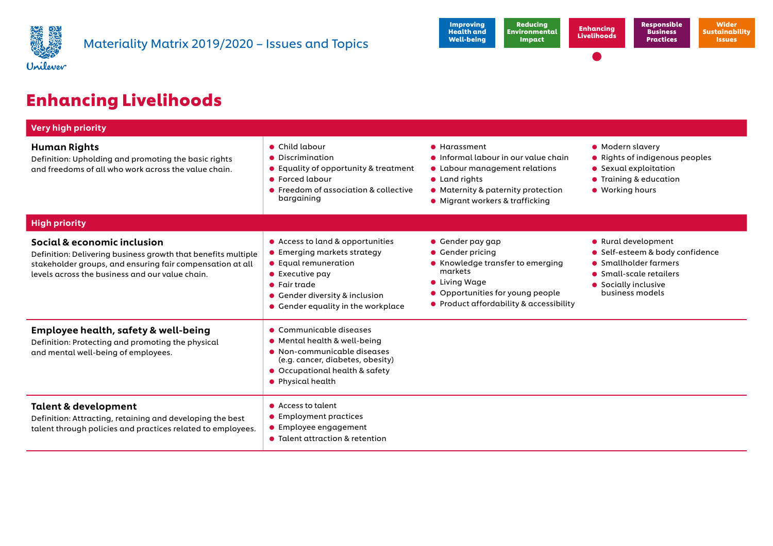



# Enhancing Livelihoods

| <b>Very high priority</b>                                                                                                                                                                                    |                                                                                                                                                                                                                    |                                                                                                                                                                                     |                                                                                                                                                       |
|--------------------------------------------------------------------------------------------------------------------------------------------------------------------------------------------------------------|--------------------------------------------------------------------------------------------------------------------------------------------------------------------------------------------------------------------|-------------------------------------------------------------------------------------------------------------------------------------------------------------------------------------|-------------------------------------------------------------------------------------------------------------------------------------------------------|
| <b>Human Rights</b><br>Definition: Upholding and promoting the basic rights<br>and freedoms of all who work across the value chain.                                                                          | • Child labour<br>• Discrimination<br>$\bullet$ Equality of opportunity & treatment<br>• Forced labour<br>• Freedom of association & collective<br>bargaining                                                      | • Harassment<br>liformal labour in our value chain<br>• Labour management relations<br>• Land rights<br>• Maternity & paternity protection<br>• Migrant workers & trafficking       | • Modern slavery<br>• Rights of indigenous peoples<br>• Sexual exploitation<br><b>•</b> Training & education<br>• Working hours                       |
| <b>High priority</b>                                                                                                                                                                                         |                                                                                                                                                                                                                    |                                                                                                                                                                                     |                                                                                                                                                       |
| Social & economic inclusion<br>Definition: Delivering business growth that benefits multiple<br>stakeholder groups, and ensuring fair compensation at all<br>levels across the business and our value chain. | • Access to land & opportunities<br>• Emerging markets strategy<br>• Equal remuneration<br>$\bullet$ Executive pay<br>$\bullet$ Fair trade<br>• Gender diversity & inclusion<br>• Gender equality in the workplace | • Gender pay gap<br>• Gender pricing<br>• Knowledge transfer to emerging<br>markets<br>• Living Wage<br>• Opportunities for young people<br>• Product affordability & accessibility | • Rural development<br>• Self-esteem & body confidence<br>• Smallholder farmers<br>• Small-scale retailers<br>• Socially inclusive<br>business models |
| <b>Employee health, safety &amp; well-being</b><br>Definition: Protecting and promoting the physical<br>and mental well-being of employees.                                                                  | • Communicable diseases<br>• Mental health & well-being<br>• Non-communicable diseases<br>(e.g. cancer, diabetes, obesity)<br>• Occupational health & safety<br>• Physical health                                  |                                                                                                                                                                                     |                                                                                                                                                       |
| <b>Talent &amp; development</b><br>Definition: Attracting, retaining and developing the best<br>talent through policies and practices related to employees.                                                  | • Access to talent<br>• Employment practices<br>$\bullet$ Employee engagement<br>• Talent attraction & retention                                                                                                   |                                                                                                                                                                                     |                                                                                                                                                       |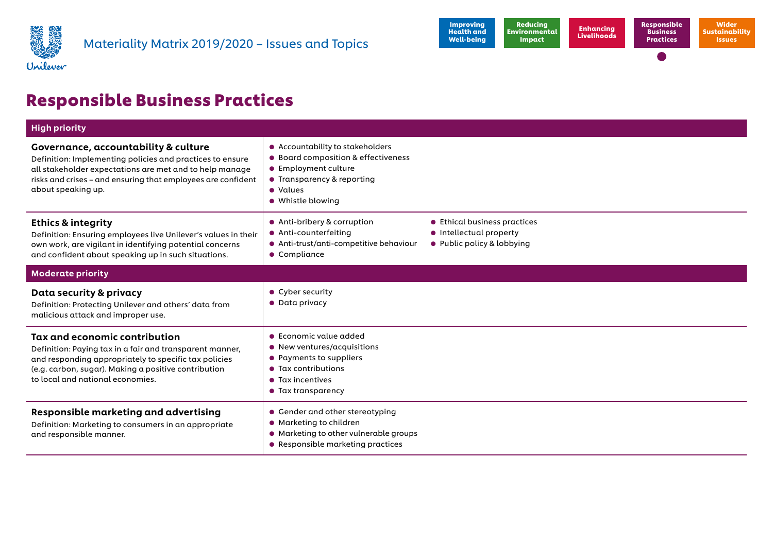



## Responsible Business Practices

| <b>High priority</b>                                                                                                                                                                                                                               |                                                                                                                                                                                      |                                                                                       |
|----------------------------------------------------------------------------------------------------------------------------------------------------------------------------------------------------------------------------------------------------|--------------------------------------------------------------------------------------------------------------------------------------------------------------------------------------|---------------------------------------------------------------------------------------|
| Governance, accountability & culture<br>Definition: Implementing policies and practices to ensure<br>all stakeholder expectations are met and to help manage<br>risks and crises - and ensuring that employees are confident<br>about speaking up. | • Accountability to stakeholders<br>Board composition & effectiveness<br>$\bullet$<br>• Employment culture<br>• Transparency & reporting<br>• Values<br>• Whistle blowing            |                                                                                       |
| <b>Ethics &amp; integrity</b><br>Definition: Ensuring employees live Unilever's values in their<br>own work, are vigilant in identifying potential concerns<br>and confident about speaking up in such situations.                                 | • Anti-bribery & corruption<br>• Anti-counterfeiting<br>• Anti-trust/anti-competitive behaviour<br>• Compliance                                                                      | ● Ethical business practices<br>• Intellectual property<br>• Public policy & lobbying |
| <b>Moderate priority</b>                                                                                                                                                                                                                           |                                                                                                                                                                                      |                                                                                       |
| Data security & privacy<br>Definition: Protecting Unilever and others' data from<br>malicious attack and improper use.                                                                                                                             | • Cyber security<br>$\bullet$ Data privacy                                                                                                                                           |                                                                                       |
| Tax and economic contribution<br>Definition: Paying tax in a fair and transparent manner,<br>and responding appropriately to specific tax policies<br>(e.g. carbon, sugar). Making a positive contribution<br>to local and national economies.     | $\bullet$ Economic value added<br>$\bullet$ New ventures/acquisitions<br>Payments to suppliers<br>$\bullet$<br>• Tax contributions<br>• Tax incentives<br>$\bullet$ Tax transparency |                                                                                       |
| <b>Responsible marketing and advertising</b><br>Definition: Marketing to consumers in an appropriate<br>and responsible manner.                                                                                                                    | • Gender and other stereotyping<br>• Marketing to children<br>• Marketing to other vulnerable groups<br>• Responsible marketing practices                                            |                                                                                       |